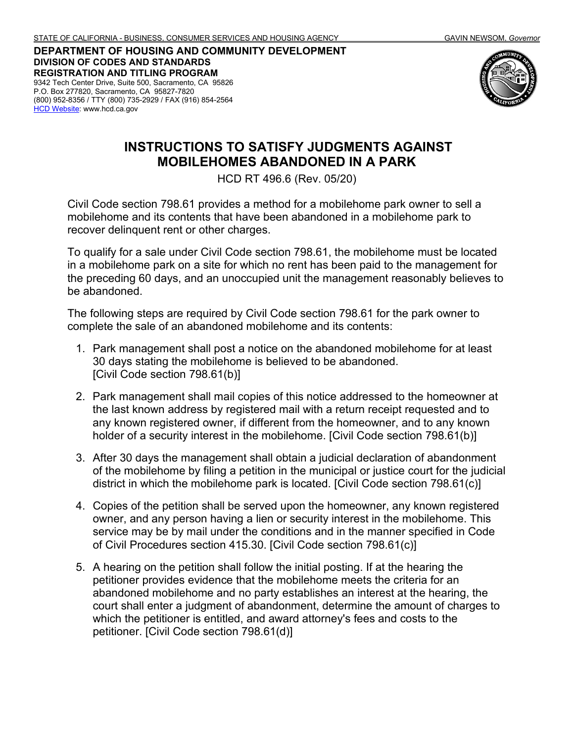**DEPARTMENT OF HOUSING AND COMMUNITY DEVELOPMENT DIVISION OF CODES AND STANDARDS REGISTRATION AND TITLING PROGRAM** 9342 Tech Center Drive, Suite 500, Sacramento, CA 95826 P.O. Box 277820, Sacramento, CA 95827-7820 (800) 952-8356 / TTY (800) 735-2929 / FAX (916) 854-2564 [HCD Website:](http://www.hcd.ca.gov/) www.hcd.ca.gov



## **INSTRUCTIONS TO SATISFY JUDGMENTS AGAINST MOBILEHOMES ABANDONED IN A PARK**

HCD RT 496.6 (Rev. 05/20)

Civil Code section 798.61 provides a method for a mobilehome park owner to sell a mobilehome and its contents that have been abandoned in a mobilehome park to recover delinquent rent or other charges.

To qualify for a sale under Civil Code section 798.61, the mobilehome must be located in a mobilehome park on a site for which no rent has been paid to the management for the preceding 60 days, and an unoccupied unit the management reasonably believes to be abandoned.

The following steps are required by Civil Code section 798.61 for the park owner to complete the sale of an abandoned mobilehome and its contents:

- 1. Park management shall post a notice on the abandoned mobilehome for at least 30 days stating the mobilehome is believed to be abandoned. [Civil Code section 798.61(b)]
- 2. Park management shall mail copies of this notice addressed to the homeowner at the last known address by registered mail with a return receipt requested and to any known registered owner, if different from the homeowner, and to any known holder of a security interest in the mobilehome. [Civil Code section 798.61(b)]
- 3. After 30 days the management shall obtain a judicial declaration of abandonment of the mobilehome by filing a petition in the municipal or justice court for the judicial district in which the mobilehome park is located. [Civil Code section 798.61(c)]
- 4. Copies of the petition shall be served upon the homeowner, any known registered owner, and any person having a lien or security interest in the mobilehome. This service may be by mail under the conditions and in the manner specified in Code of Civil Procedures section 415.30. [Civil Code section 798.61(c)]
- 5. A hearing on the petition shall follow the initial posting. If at the hearing the petitioner provides evidence that the mobilehome meets the criteria for an abandoned mobilehome and no party establishes an interest at the hearing, the court shall enter a judgment of abandonment, determine the amount of charges to which the petitioner is entitled, and award attorney's fees and costs to the petitioner. [Civil Code section 798.61(d)]